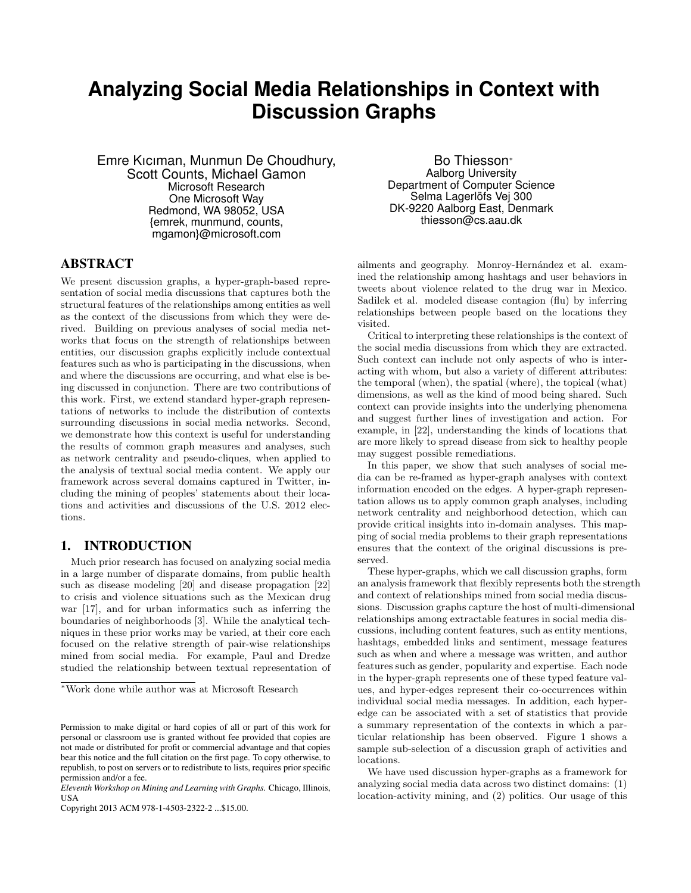# **Analyzing Social Media Relationships in Context with Discussion Graphs**

Emre Kıcıman, Munmun De Choudhury, Scott Counts, Michael Gamon Microsoft Research One Microsoft Way Redmond, WA 98052, USA {emrek, munmund, counts, mgamon}@microsoft.com

# ABSTRACT

We present discussion graphs, a hyper-graph-based representation of social media discussions that captures both the structural features of the relationships among entities as well as the context of the discussions from which they were derived. Building on previous analyses of social media networks that focus on the strength of relationships between entities, our discussion graphs explicitly include contextual features such as who is participating in the discussions, when and where the discussions are occurring, and what else is being discussed in conjunction. There are two contributions of this work. First, we extend standard hyper-graph representations of networks to include the distribution of contexts surrounding discussions in social media networks. Second, we demonstrate how this context is useful for understanding the results of common graph measures and analyses, such as network centrality and pseudo-cliques, when applied to the analysis of textual social media content. We apply our framework across several domains captured in Twitter, including the mining of peoples' statements about their locations and activities and discussions of the U.S. 2012 elections.

# 1. INTRODUCTION

Much prior research has focused on analyzing social media in a large number of disparate domains, from public health such as disease modeling [20] and disease propagation [22] to crisis and violence situations such as the Mexican drug war [17], and for urban informatics such as inferring the boundaries of neighborhoods [3]. While the analytical techniques in these prior works may be varied, at their core each focused on the relative strength of pair-wise relationships mined from social media. For example, Paul and Dredze studied the relationship between textual representation of

*<sup>∗</sup>*Work done while author was at Microsoft Research

Copyright 2013 ACM 978-1-4503-2322-2 ...\$15.00.

Bo Thiesson*<sup>∗</sup>* Aalborg University Department of Computer Science Selma Lagerlöfs Vej 300 DK-9220 Aalborg East, Denmark thiesson@cs.aau.dk

ailments and geography. Monroy-Hernández et al. examined the relationship among hashtags and user behaviors in tweets about violence related to the drug war in Mexico. Sadilek et al. modeled disease contagion (flu) by inferring relationships between people based on the locations they visited.

Critical to interpreting these relationships is the context of the social media discussions from which they are extracted. Such context can include not only aspects of who is interacting with whom, but also a variety of different attributes: the temporal (when), the spatial (where), the topical (what) dimensions, as well as the kind of mood being shared. Such context can provide insights into the underlying phenomena and suggest further lines of investigation and action. For example, in [22], understanding the kinds of locations that are more likely to spread disease from sick to healthy people may suggest possible remediations.

In this paper, we show that such analyses of social media can be re-framed as hyper-graph analyses with context information encoded on the edges. A hyper-graph representation allows us to apply common graph analyses, including network centrality and neighborhood detection, which can provide critical insights into in-domain analyses. This mapping of social media problems to their graph representations ensures that the context of the original discussions is preserved.

These hyper-graphs, which we call discussion graphs, form an analysis framework that flexibly represents both the strength and context of relationships mined from social media discussions. Discussion graphs capture the host of multi-dimensional relationships among extractable features in social media discussions, including content features, such as entity mentions, hashtags, embedded links and sentiment, message features such as when and where a message was written, and author features such as gender, popularity and expertise. Each node in the hyper-graph represents one of these typed feature values, and hyper-edges represent their co-occurrences within individual social media messages. In addition, each hyperedge can be associated with a set of statistics that provide a summary representation of the contexts in which a particular relationship has been observed. Figure 1 shows a sample sub-selection of a discussion graph of activities and locations.

We have used discussion hyper-graphs as a framework for analyzing social media data across two distinct domains: (1) location-activity mining, and (2) politics. Our usage of this

Permission to make digital or hard copies of all or part of this work for personal or classroom use is granted without fee provided that copies are not made or distributed for profit or commercial advantage and that copies bear this notice and the full citation on the first page. To copy otherwise, to republish, to post on servers or to redistribute to lists, requires prior specific permission and/or a fee.

*Eleventh Workshop on Mining and Learning with Graphs.* Chicago, Illinois, **USA**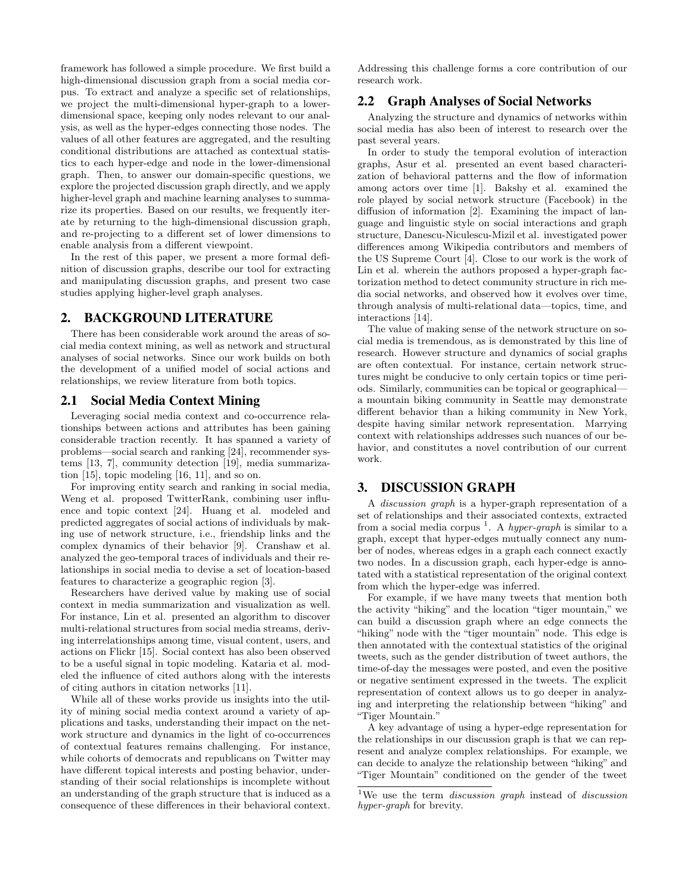framework has followed a simple procedure. We first build a high-dimensional discussion graph from a social media corpus. To extract and analyze a specific set of relationships, we project the multi-dimensional hyper-graph to a lowerdimensional space, keeping only nodes relevant to our analysis, as well as the hyper-edges connecting those nodes. The values of all other features are aggregated, and the resulting conditional distributions are attached as contextual statistics to each hyper-edge and node in the lower-dimensional graph. Then, to answer our domain-specific questions, we explore the projected discussion graph directly, and we apply higher-level graph and machine learning analyses to summarize its properties. Based on our results, we frequently iterate by returning to the high-dimensional discussion graph, and re-projecting to a different set of lower dimensions to enable analysis from a different viewpoint.

In the rest of this paper, we present a more formal definition of discussion graphs, describe our tool for extracting and manipulating discussion graphs, and present two case studies applying higher-level graph analyses.

# 2. BACKGROUND LITERATURE

There has been considerable work around the areas of social media context mining, as well as network and structural analyses of social networks. Since our work builds on both the development of a unified model of social actions and relationships, we review literature from both topics.

#### 2.1 Social Media Context Mining

Leveraging social media context and co-occurrence relationships between actions and attributes has been gaining considerable traction recently. It has spanned a variety of problems—social search and ranking [24], recommender systems [13, 7], community detection [19], media summarization [15], topic modeling [16, 11], and so on.

For improving entity search and ranking in social media, Weng et al. proposed TwitterRank, combining user influence and topic context [24]. Huang et al. modeled and predicted aggregates of social actions of individuals by making use of network structure, i.e., friendship links and the complex dynamics of their behavior [9]. Cranshaw et al. analyzed the geo-temporal traces of individuals and their relationships in social media to devise a set of location-based features to characterize a geographic region [3].

Researchers have derived value by making use of social context in media summarization and visualization as well. For instance, Lin et al. presented an algorithm to discover multi-relational structures from social media streams, deriving interrelationships among time, visual content, users, and actions on Flickr [15]. Social context has also been observed to be a useful signal in topic modeling. Kataria et al. modeled the influence of cited authors along with the interests of citing authors in citation networks [11].

While all of these works provide us insights into the utility of mining social media context around a variety of applications and tasks, understanding their impact on the network structure and dynamics in the light of co-occurrences of contextual features remains challenging. For instance, while cohorts of democrats and republicans on Twitter may have different topical interests and posting behavior, understanding of their social relationships is incomplete without an understanding of the graph structure that is induced as a consequence of these differences in their behavioral context. Addressing this challenge forms a core contribution of our research work.

# 2.2 Graph Analyses of Social Networks

Analyzing the structure and dynamics of networks within social media has also been of interest to research over the past several years.

In order to study the temporal evolution of interaction graphs, Asur et al. presented an event based characterization of behavioral patterns and the flow of information among actors over time [1]. Bakshy et al. examined the role played by social network structure (Facebook) in the diffusion of information [2]. Examining the impact of language and linguistic style on social interactions and graph structure, Danescu-Niculescu-Mizil et al. investigated power differences among Wikipedia contributors and members of the US Supreme Court [4]. Close to our work is the work of Lin et al. wherein the authors proposed a hyper-graph factorization method to detect community structure in rich media social networks, and observed how it evolves over time, through analysis of multi-relational data—topics, time, and interactions [14].

The value of making sense of the network structure on social media is tremendous, as is demonstrated by this line of research. However structure and dynamics of social graphs are often contextual. For instance, certain network structures might be conducive to only certain topics or time periods. Similarly, communities can be topical or geographical a mountain biking community in Seattle may demonstrate different behavior than a hiking community in New York, despite having similar network representation. Marrying context with relationships addresses such nuances of our behavior, and constitutes a novel contribution of our current work.

#### 3. DISCUSSION GRAPH

A *discussion graph* is a hyper-graph representation of a set of relationships and their associated contexts, extracted from a social media corpus <sup>1</sup> . A *hyper-graph* is similar to a graph, except that hyper-edges mutually connect any number of nodes, whereas edges in a graph each connect exactly two nodes. In a discussion graph, each hyper-edge is annotated with a statistical representation of the original context from which the hyper-edge was inferred.

For example, if we have many tweets that mention both the activity "hiking" and the location "tiger mountain," we can build a discussion graph where an edge connects the "hiking" node with the "tiger mountain" node. This edge is then annotated with the contextual statistics of the original tweets, such as the gender distribution of tweet authors, the time-of-day the messages were posted, and even the positive or negative sentiment expressed in the tweets. The explicit representation of context allows us to go deeper in analyzing and interpreting the relationship between "hiking" and "Tiger Mountain."

A key advantage of using a hyper-edge representation for the relationships in our discussion graph is that we can represent and analyze complex relationships. For example, we can decide to analyze the relationship between "hiking" and "Tiger Mountain" conditioned on the gender of the tweet

<sup>1</sup>We use the term *discussion graph* instead of *discussion hyper-graph* for brevity.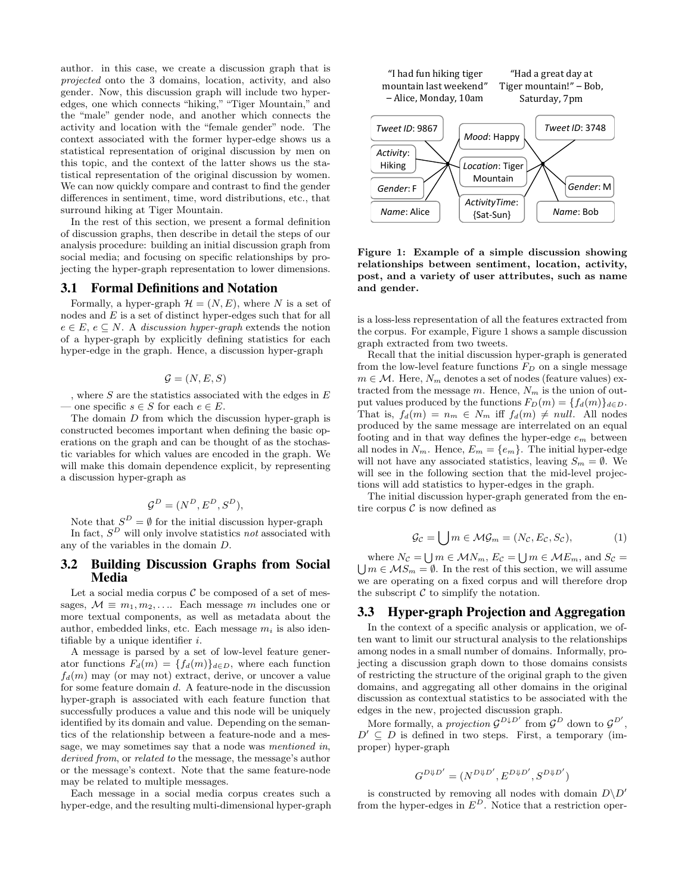author. in this case, we create a discussion graph that is *projected* onto the 3 domains, location, activity, and also gender. Now, this discussion graph will include two hyperedges, one which connects "hiking," "Tiger Mountain," and the "male" gender node, and another which connects the activity and location with the "female gender" node. The context associated with the former hyper-edge shows us a statistical representation of original discussion by men on this topic, and the context of the latter shows us the statistical representation of the original discussion by women. We can now quickly compare and contrast to find the gender differences in sentiment, time, word distributions, etc., that surround hiking at Tiger Mountain.

In the rest of this section, we present a formal definition of discussion graphs, then describe in detail the steps of our analysis procedure: building an initial discussion graph from social media; and focusing on specific relationships by projecting the hyper-graph representation to lower dimensions.

#### 3.1 Formal Definitions and Notation

Formally, a hyper-graph  $\mathcal{H} = (N, E)$ , where N is a set of nodes and *E* is a set of distinct hyper-edges such that for all  $e \in E$ ,  $e \subseteq N$ . A *discussion hyper-graph* extends the notion of a hyper-graph by explicitly defining statistics for each hyper-edge in the graph. Hence, a discussion hyper-graph

$$
\mathcal{G} = (N, E, S)
$$

, where *S* are the statistics associated with the edges in *E*  $\leq$  − one specific *s*  $\in$  *S* for each *e*  $\in$  *E*.

The domain *D* from which the discussion hyper-graph is constructed becomes important when defining the basic operations on the graph and can be thought of as the stochastic variables for which values are encoded in the graph. We will make this domain dependence explicit, by representing a discussion hyper-graph as

$$
\mathcal{G}^D = (N^D, E^D, S^D),
$$

Note that  $S^D = \emptyset$  for the initial discussion hyper-graph In fact, *S <sup>D</sup>* will only involve statistics *not* associated with any of the variables in the domain *D*.

#### 3.2 Building Discussion Graphs from Social Media

Let a social media corpus  $\mathcal C$  be composed of a set of messages,  $M \equiv m_1, m_2, \ldots$  Each message *m* includes one or more textual components, as well as metadata about the author, embedded links, etc. Each message  $m_i$  is also identifiable by a unique identifier *i*.

A message is parsed by a set of low-level feature generator functions  $F_d(m) = \{f_d(m)\}_{d \in D}$ , where each function  $f_d(m)$  may (or may not) extract, derive, or uncover a value for some feature domain *d*. A feature-node in the discussion hyper-graph is associated with each feature function that successfully produces a value and this node will be uniquely identified by its domain and value. Depending on the semantics of the relationship between a feature-node and a message, we may sometimes say that a node was *mentioned in*, *derived from*, or *related to* the message, the message's author or the message's context. Note that the same feature-node may be related to multiple messages.

Each message in a social media corpus creates such a hyper-edge, and the resulting multi-dimensional hyper-graph



**Figure 1: Example of a simple discussion showing relationships between sentiment, location, activity, post, and a variety of user attributes, such as name and gender.**

is a loss-less representation of all the features extracted from the corpus. For example, Figure 1 shows a sample discussion graph extracted from two tweets.

Recall that the initial discussion hyper-graph is generated from the low-level feature functions *F<sup>D</sup>* on a single message  $m \in \mathcal{M}$ . Here,  $N_m$  denotes a set of nodes (feature values) extracted from the message *m*. Hence, *N<sup>m</sup>* is the union of output values produced by the functions  $F_D(m) = \{f_d(m)\}_{d \in D}$ . That is,  $f_d(m) = n_m \in N_m$  iff  $f_d(m) \neq null$ . All nodes produced by the same message are interrelated on an equal footing and in that way defines the hyper-edge *e<sup>m</sup>* between all nodes in  $N_m$ . Hence,  $E_m = \{e_m\}$ . The initial hyper-edge will not have any associated statistics, leaving  $S_m = \emptyset$ . We will see in the following section that the mid-level projections will add statistics to hyper-edges in the graph.

The initial discussion hyper-graph generated from the entire corpus  $C$  is now defined as

$$
\mathcal{G}_{\mathcal{C}} = \bigcup m \in \mathcal{MG}_m = (N_{\mathcal{C}}, E_{\mathcal{C}}, S_{\mathcal{C}}),\tag{1}
$$

where  $N_c = \bigcup m \in \mathcal{MN}_m$ ,  $E_c = \bigcup m \in \mathcal{MK}_m$ , and  $S_c = \bigcup m \in \mathcal{MS}_m = \emptyset$ . In the rest of this section, we will assume  $\bigcup m \in \mathcal{M}S_m = \emptyset$ . In the rest of this section, we will assume we are operating on a fixed corpus and will therefore drop the subscript  $C$  to simplify the notation.

# 3.3 Hyper-graph Projection and Aggregation

In the context of a specific analysis or application, we often want to limit our structural analysis to the relationships among nodes in a small number of domains. Informally, projecting a discussion graph down to those domains consists of restricting the structure of the original graph to the given domains, and aggregating all other domains in the original discussion as contextual statistics to be associated with the edges in the new, projected discussion graph.

More formally, a *projection*  $G^{D\downarrow D'}$  from  $G^D$  down to  $G^{D'}$ ,  $D' \subseteq D$  is defined in two steps. First, a temporary (improper) hyper-graph

$$
G^{D\Downarrow D'} = (N^{D\Downarrow D'}, E^{D\Downarrow D'}, S^{D\Downarrow D'})
$$

is constructed by removing all nodes with domain  $D\ D'$ from the hyper-edges in  $E^D$ . Notice that a restriction oper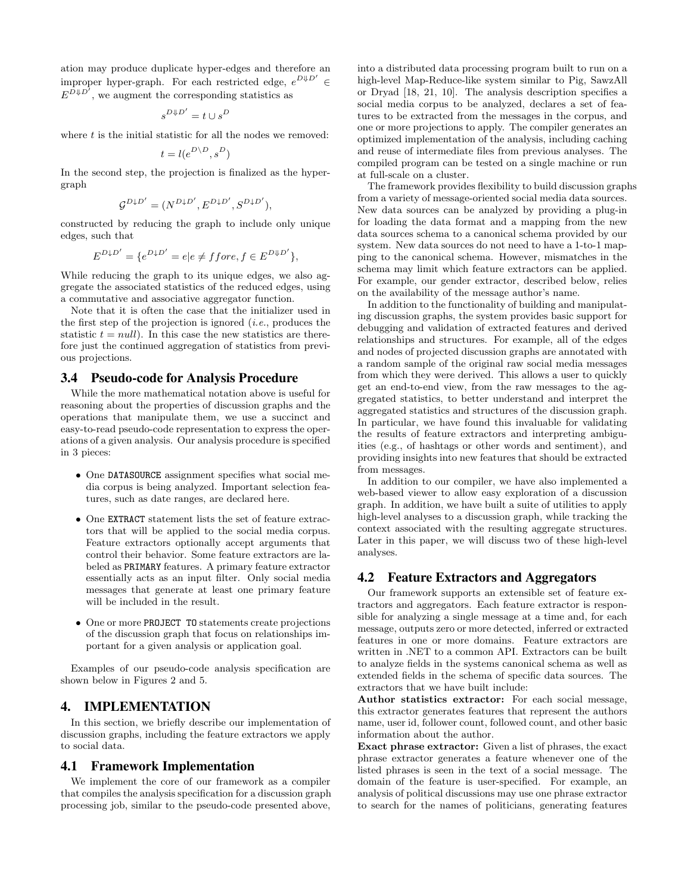ation may produce duplicate hyper-edges and therefore an improper hyper-graph. For each restricted edge,  $e^{D\psi D'} \in$  $E^{D\Downarrow D'}$ , we augment the corresponding statistics as

$$
s^{D \Downarrow D'} = t \cup s^D
$$

where *t* is the initial statistic for all the nodes we removed:

$$
t=l(e^{D\backslash D},s^D)
$$

In the second step, the projection is finalized as the hypergraph

$$
\mathcal{G}^{D \downarrow D'} = (N^{D \downarrow D'}, E^{D \downarrow D'}, S^{D \downarrow D'}),
$$

constructed by reducing the graph to include only unique edges, such that

$$
E^{D\downarrow D'} = \{e^{D\downarrow D'} = e | e \neq ffore, f \in E^{D\Downarrow D'}\},\
$$

While reducing the graph to its unique edges, we also aggregate the associated statistics of the reduced edges, using a commutative and associative aggregator function.

Note that it is often the case that the initializer used in the first step of the projection is ignored (*i.e.*, produces the statistic  $t = null$ . In this case the new statistics are therefore just the continued aggregation of statistics from previous projections.

### 3.4 Pseudo-code for Analysis Procedure

While the more mathematical notation above is useful for reasoning about the properties of discussion graphs and the operations that manipulate them, we use a succinct and easy-to-read pseudo-code representation to express the operations of a given analysis. Our analysis procedure is specified in 3 pieces:

- *•* One DATASOURCE assignment specifies what social media corpus is being analyzed. Important selection features, such as date ranges, are declared here.
- *•* One EXTRACT statement lists the set of feature extractors that will be applied to the social media corpus. Feature extractors optionally accept arguments that control their behavior. Some feature extractors are labeled as PRIMARY features. A primary feature extractor essentially acts as an input filter. Only social media messages that generate at least one primary feature will be included in the result.
- One or more **PROJECT** TO statements create projections of the discussion graph that focus on relationships important for a given analysis or application goal.

Examples of our pseudo-code analysis specification are shown below in Figures 2 and 5.

# 4. IMPLEMENTATION

In this section, we briefly describe our implementation of discussion graphs, including the feature extractors we apply to social data.

# 4.1 Framework Implementation

We implement the core of our framework as a compiler that compiles the analysis specification for a discussion graph processing job, similar to the pseudo-code presented above,

into a distributed data processing program built to run on a high-level Map-Reduce-like system similar to Pig, SawzAll or Dryad [18, 21, 10]. The analysis description specifies a social media corpus to be analyzed, declares a set of features to be extracted from the messages in the corpus, and one or more projections to apply. The compiler generates an optimized implementation of the analysis, including caching and reuse of intermediate files from previous analyses. The compiled program can be tested on a single machine or run at full-scale on a cluster.

The framework provides flexibility to build discussion graphs from a variety of message-oriented social media data sources. New data sources can be analyzed by providing a plug-in for loading the data format and a mapping from the new data sources schema to a canonical schema provided by our system. New data sources do not need to have a 1-to-1 mapping to the canonical schema. However, mismatches in the schema may limit which feature extractors can be applied. For example, our gender extractor, described below, relies on the availability of the message author's name.

In addition to the functionality of building and manipulating discussion graphs, the system provides basic support for debugging and validation of extracted features and derived relationships and structures. For example, all of the edges and nodes of projected discussion graphs are annotated with a random sample of the original raw social media messages from which they were derived. This allows a user to quickly get an end-to-end view, from the raw messages to the aggregated statistics, to better understand and interpret the aggregated statistics and structures of the discussion graph. In particular, we have found this invaluable for validating the results of feature extractors and interpreting ambiguities (e.g., of hashtags or other words and sentiment), and providing insights into new features that should be extracted from messages.

In addition to our compiler, we have also implemented a web-based viewer to allow easy exploration of a discussion graph. In addition, we have built a suite of utilities to apply high-level analyses to a discussion graph, while tracking the context associated with the resulting aggregate structures. Later in this paper, we will discuss two of these high-level analyses.

#### 4.2 Feature Extractors and Aggregators

Our framework supports an extensible set of feature extractors and aggregators. Each feature extractor is responsible for analyzing a single message at a time and, for each message, outputs zero or more detected, inferred or extracted features in one or more domains. Feature extractors are written in .NET to a common API. Extractors can be built to analyze fields in the systems canonical schema as well as extended fields in the schema of specific data sources. The extractors that we have built include:

**Author statistics extractor:** For each social message, this extractor generates features that represent the authors name, user id, follower count, followed count, and other basic information about the author.

**Exact phrase extractor:** Given a list of phrases, the exact phrase extractor generates a feature whenever one of the listed phrases is seen in the text of a social message. The domain of the feature is user-specified. For example, an analysis of political discussions may use one phrase extractor to search for the names of politicians, generating features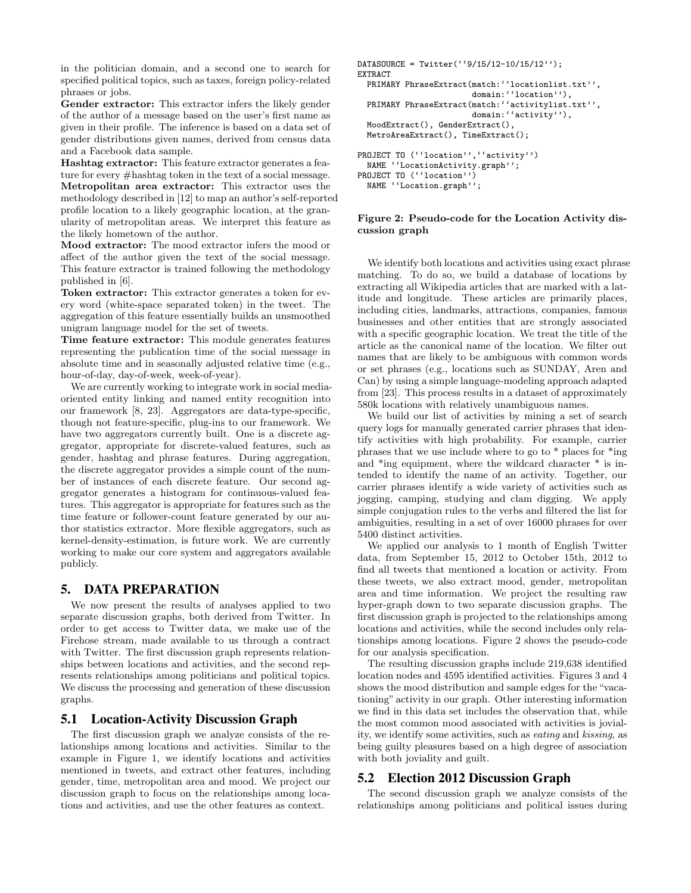in the politician domain, and a second one to search for specified political topics, such as taxes, foreign policy-related phrases or jobs.

**Gender extractor:** This extractor infers the likely gender of the author of a message based on the user's first name as given in their profile. The inference is based on a data set of gender distributions given names, derived from census data and a Facebook data sample.

**Hashtag extractor:** This feature extractor generates a feature for every #hashtag token in the text of a social message. **Metropolitan area extractor:** This extractor uses the methodology described in [12] to map an author's self-reported profile location to a likely geographic location, at the granularity of metropolitan areas. We interpret this feature as the likely hometown of the author.

**Mood extractor:** The mood extractor infers the mood or affect of the author given the text of the social message. This feature extractor is trained following the methodology published in [6].

**Token extractor:** This extractor generates a token for every word (white-space separated token) in the tweet. The aggregation of this feature essentially builds an unsmoothed unigram language model for the set of tweets.

**Time feature extractor:** This module generates features representing the publication time of the social message in absolute time and in seasonally adjusted relative time (e.g., hour-of-day, day-of-week, week-of-year).

We are currently working to integrate work in social mediaoriented entity linking and named entity recognition into our framework [8, 23]. Aggregators are data-type-specific, though not feature-specific, plug-ins to our framework. We have two aggregators currently built. One is a discrete aggregator, appropriate for discrete-valued features, such as gender, hashtag and phrase features. During aggregation, the discrete aggregator provides a simple count of the number of instances of each discrete feature. Our second aggregator generates a histogram for continuous-valued features. This aggregator is appropriate for features such as the time feature or follower-count feature generated by our author statistics extractor. More flexible aggregators, such as kernel-density-estimation, is future work. We are currently working to make our core system and aggregators available publicly.

# 5. DATA PREPARATION

We now present the results of analyses applied to two separate discussion graphs, both derived from Twitter. In order to get access to Twitter data, we make use of the Firehose stream, made available to us through a contract with Twitter. The first discussion graph represents relationships between locations and activities, and the second represents relationships among politicians and political topics. We discuss the processing and generation of these discussion graphs.

# 5.1 Location-Activity Discussion Graph

The first discussion graph we analyze consists of the relationships among locations and activities. Similar to the example in Figure 1, we identify locations and activities mentioned in tweets, and extract other features, including gender, time, metropolitan area and mood. We project our discussion graph to focus on the relationships among locations and activities, and use the other features as context.

```
DATASOURCE = Twitter('9/15/12-10/15/12'EXTRACT
 PRIMARY PhraseExtract(match:''locationlist.txt'',
                        domain: ''location''),
  PRIMARY PhraseExtract(match: ''activitylist.txt'',
                        domain: "activity"),
  MoodExtract(), GenderExtract(),
 MetroAreaExtract(), TimeExtract();
PROJECT TO (''location'',''activity'')
 NAME ''LocationActivity.graph'';
PROJECT TO (''location'')
 NAME ''Location.graph'';
```
# **Figure 2: Pseudo-code for the Location Activity dis-**

**cussion graph**

We identify both locations and activities using exact phrase matching. To do so, we build a database of locations by extracting all Wikipedia articles that are marked with a latitude and longitude. These articles are primarily places, including cities, landmarks, attractions, companies, famous businesses and other entities that are strongly associated with a specific geographic location. We treat the title of the article as the canonical name of the location. We filter out names that are likely to be ambiguous with common words or set phrases (e.g., locations such as SUNDAY, Aren and Can) by using a simple language-modeling approach adapted from [23]. This process results in a dataset of approximately 580k locations with relatively unambiguous names.

We build our list of activities by mining a set of search query logs for manually generated carrier phrases that identify activities with high probability. For example, carrier phrases that we use include where to go to \* places for \*ing and \*ing equipment, where the wildcard character \* is intended to identify the name of an activity. Together, our carrier phrases identify a wide variety of activities such as jogging, camping, studying and clam digging. We apply simple conjugation rules to the verbs and filtered the list for ambiguities, resulting in a set of over 16000 phrases for over 5400 distinct activities.

We applied our analysis to 1 month of English Twitter data, from September 15, 2012 to October 15th, 2012 to find all tweets that mentioned a location or activity. From these tweets, we also extract mood, gender, metropolitan area and time information. We project the resulting raw hyper-graph down to two separate discussion graphs. The first discussion graph is projected to the relationships among locations and activities, while the second includes only relationships among locations. Figure 2 shows the pseudo-code for our analysis specification.

The resulting discussion graphs include 219,638 identified location nodes and 4595 identified activities. Figures 3 and 4 shows the mood distribution and sample edges for the "vacationing" activity in our graph. Other interesting information we find in this data set includes the observation that, while the most common mood associated with activities is joviality, we identify some activities, such as *eating* and *kissing*, as being guilty pleasures based on a high degree of association with both joviality and guilt.

# 5.2 Election 2012 Discussion Graph

The second discussion graph we analyze consists of the relationships among politicians and political issues during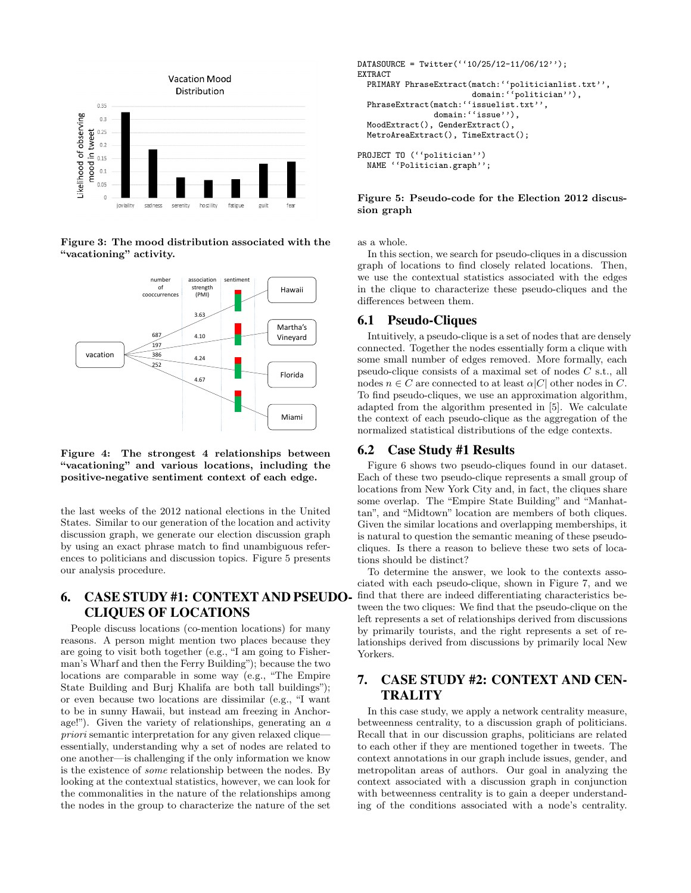

**Figure 3: The mood distribution associated with the "vacationing" activity.**



**Figure 4: The strongest 4 relationships between "vacationing" and various locations, including the positive-negative sentiment context of each edge.**

the last weeks of the 2012 national elections in the United States. Similar to our generation of the location and activity discussion graph, we generate our election discussion graph by using an exact phrase match to find unambiguous references to politicians and discussion topics. Figure 5 presents our analysis procedure.

# 6. CASE STUDY #1: CONTEXT AND PSEUDO-CLIQUES OF LOCATIONS

People discuss locations (co-mention locations) for many reasons. A person might mention two places because they are going to visit both together (e.g., "I am going to Fisherman's Wharf and then the Ferry Building"); because the two locations are comparable in some way (e.g., "The Empire State Building and Burj Khalifa are both tall buildings"); or even because two locations are dissimilar (e.g., "I want to be in sunny Hawaii, but instead am freezing in Anchorage!"). Given the variety of relationships, generating an *a priori* semantic interpretation for any given relaxed clique essentially, understanding why a set of nodes are related to one another—is challenging if the only information we know is the existence of *some* relationship between the nodes. By looking at the contextual statistics, however, we can look for the commonalities in the nature of the relationships among the nodes in the group to characterize the nature of the set

```
DATASOURCE = Twitter('10/25/12-11/06/12'EXTRACT
  PRIMARY PhraseExtract(match:''politicianlist.txt'',
                        domain:''politician''),
  PhraseExtract(match:''issuelist.txt'',
                domain:''issue''),
  MoodExtract(), GenderExtract(),
 MetroAreaExtract(), TimeExtract();
PROJECT TO (''politician'')
 NAME ''Politician.graph'';
```
#### **Figure 5: Pseudo-code for the Election 2012 discussion graph**

as a whole.

In this section, we search for pseudo-cliques in a discussion graph of locations to find closely related locations. Then, we use the contextual statistics associated with the edges in the clique to characterize these pseudo-cliques and the differences between them.

#### 6.1 Pseudo-Cliques

Intuitively, a pseudo-clique is a set of nodes that are densely connected. Together the nodes essentially form a clique with some small number of edges removed. More formally, each pseudo-clique consists of a maximal set of nodes *C* s.t., all nodes  $n \in C$  are connected to at least  $\alpha |C|$  other nodes in *C*. To find pseudo-cliques, we use an approximation algorithm, adapted from the algorithm presented in [5]. We calculate the context of each pseudo-clique as the aggregation of the normalized statistical distributions of the edge contexts.

# 6.2 Case Study #1 Results

Figure 6 shows two pseudo-cliques found in our dataset. Each of these two pseudo-clique represents a small group of locations from New York City and, in fact, the cliques share some overlap. The "Empire State Building" and "Manhattan", and "Midtown" location are members of both cliques. Given the similar locations and overlapping memberships, it is natural to question the semantic meaning of these pseudocliques. Is there a reason to believe these two sets of locations should be distinct?

To determine the answer, we look to the contexts associated with each pseudo-clique, shown in Figure 7, and we find that there are indeed differentiating characteristics between the two cliques: We find that the pseudo-clique on the left represents a set of relationships derived from discussions by primarily tourists, and the right represents a set of relationships derived from discussions by primarily local New Yorkers.

# 7. CASE STUDY #2: CONTEXT AND CEN-**TRALITY**

In this case study, we apply a network centrality measure, betweenness centrality, to a discussion graph of politicians. Recall that in our discussion graphs, politicians are related to each other if they are mentioned together in tweets. The context annotations in our graph include issues, gender, and metropolitan areas of authors. Our goal in analyzing the context associated with a discussion graph in conjunction with betweenness centrality is to gain a deeper understanding of the conditions associated with a node's centrality.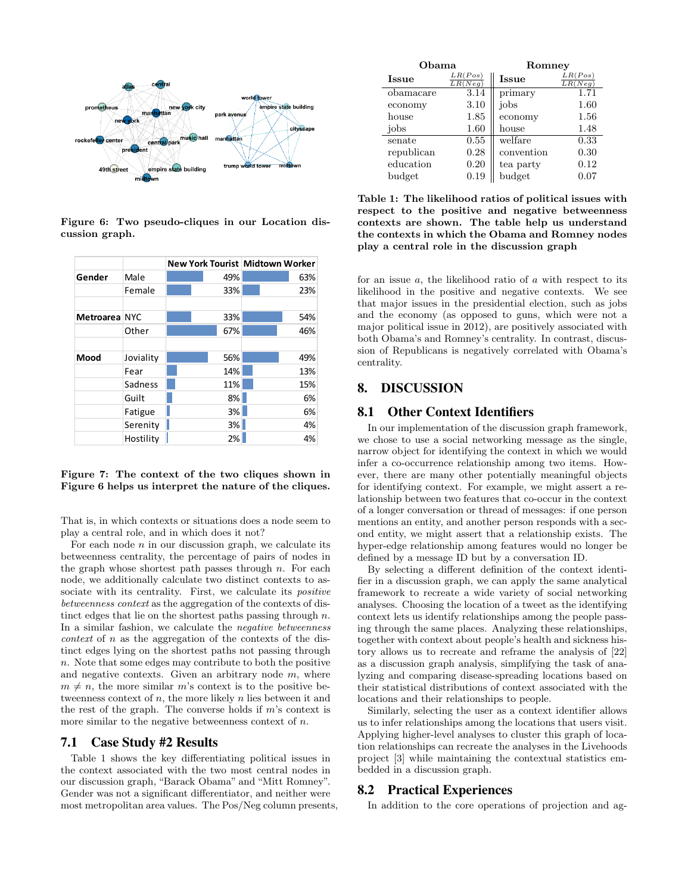

**Figure 6: Two pseudo-cliques in our Location discussion graph.**

|               |           | New York Tourist Midtown Worker |     |  |     |
|---------------|-----------|---------------------------------|-----|--|-----|
| Gender        | Male      |                                 | 49% |  | 63% |
|               | Female    |                                 | 33% |  | 23% |
|               |           |                                 |     |  |     |
| Metroarea NYC |           |                                 | 33% |  | 54% |
|               | Other     |                                 | 67% |  | 46% |
|               |           |                                 |     |  |     |
| Mood          | Joviality |                                 | 56% |  | 49% |
|               | Fear      |                                 | 14% |  | 13% |
|               | Sadness   |                                 | 11% |  | 15% |
|               | Guilt     |                                 | 8%  |  | 6%  |
|               | Fatigue   |                                 | 3%  |  | 6%  |
|               | Serenity  |                                 | 3%  |  | 4%  |
|               | Hostility |                                 | 2%  |  | 4%  |

**Figure 7: The context of the two cliques shown in Figure 6 helps us interpret the nature of the cliques.**

That is, in which contexts or situations does a node seem to play a central role, and in which does it not?

For each node *n* in our discussion graph, we calculate its betweenness centrality, the percentage of pairs of nodes in the graph whose shortest path passes through *n*. For each node, we additionally calculate two distinct contexts to associate with its centrality. First, we calculate its *positive betweenness context* as the aggregation of the contexts of distinct edges that lie on the shortest paths passing through *n*. In a similar fashion, we calculate the *negative betweenness context* of *n* as the aggregation of the contexts of the distinct edges lying on the shortest paths not passing through *n*. Note that some edges may contribute to both the positive and negative contexts. Given an arbitrary node *m*, where  $m \neq n$ , the more similar *m*'s context is to the positive betweenness context of *n*, the more likely *n* lies between it and the rest of the graph. The converse holds if *m*'s context is more similar to the negative betweenness context of *n*.

#### 7.1 Case Study #2 Results

Table 1 shows the key differentiating political issues in the context associated with the two most central nodes in our discussion graph, "Barack Obama" and "Mitt Romney". Gender was not a significant differentiator, and neither were most metropolitan area values. The Pos/Neg column presents,

| Obama        |                    | Romney     |                    |  |
|--------------|--------------------|------------|--------------------|--|
| <b>Issue</b> | LR(Pos)<br>LR(Neg) | Issue      | LR(Pos)<br>LR(Neg) |  |
| obamacare    | 3.14               | primary    | 1.71               |  |
| economy      | 3.10               | jobs       | 1.60               |  |
| house        | 1.85               | economy    | 1.56               |  |
| jobs         | 1.60               | house      | 1.48               |  |
| senate       | 0.55               | welfare    | 0.33               |  |
| republican   | 0.28               | convention | 0.30               |  |
| education    | 0.20               | tea party  | 0.12               |  |
| budget       | 0.19               | budget     | 0.07               |  |

**Table 1: The likelihood ratios of political issues with respect to the positive and negative betweenness contexts are shown. The table help us understand the contexts in which the Obama and Romney nodes play a central role in the discussion graph**

for an issue *a*, the likelihood ratio of *a* with respect to its likelihood in the positive and negative contexts. We see that major issues in the presidential election, such as jobs and the economy (as opposed to guns, which were not a major political issue in 2012), are positively associated with both Obama's and Romney's centrality. In contrast, discussion of Republicans is negatively correlated with Obama's centrality.

# 8. DISCUSSION

# 8.1 Other Context Identifiers

In our implementation of the discussion graph framework, we chose to use a social networking message as the single, narrow object for identifying the context in which we would infer a co-occurrence relationship among two items. However, there are many other potentially meaningful objects for identifying context. For example, we might assert a relationship between two features that co-occur in the context of a longer conversation or thread of messages: if one person mentions an entity, and another person responds with a second entity, we might assert that a relationship exists. The hyper-edge relationship among features would no longer be defined by a message ID but by a conversation ID.

By selecting a different definition of the context identifier in a discussion graph, we can apply the same analytical framework to recreate a wide variety of social networking analyses. Choosing the location of a tweet as the identifying context lets us identify relationships among the people passing through the same places. Analyzing these relationships, together with context about people's health and sickness history allows us to recreate and reframe the analysis of [22] as a discussion graph analysis, simplifying the task of analyzing and comparing disease-spreading locations based on their statistical distributions of context associated with the locations and their relationships to people.

Similarly, selecting the user as a context identifier allows us to infer relationships among the locations that users visit. Applying higher-level analyses to cluster this graph of location relationships can recreate the analyses in the Livehoods project [3] while maintaining the contextual statistics embedded in a discussion graph.

# 8.2 Practical Experiences

In addition to the core operations of projection and ag-